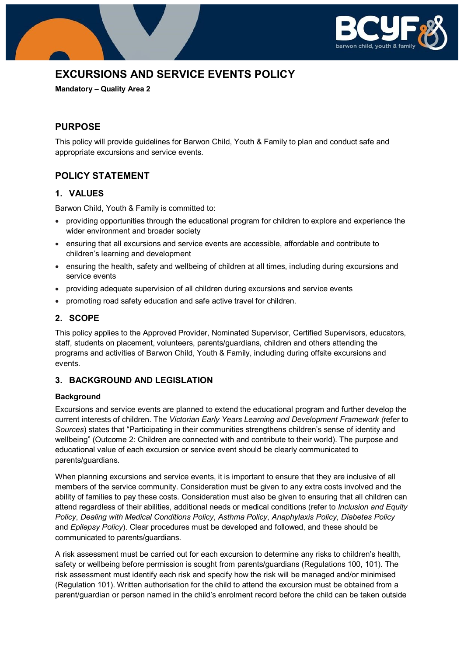

# **EXCURSIONS AND SERVICE EVENTS POLICY**

**Mandatory – Quality Area 2**

# **PURPOSE**

This policy will provide guidelines for Barwon Child, Youth & Family to plan and conduct safe and appropriate excursions and service events.

# **POLICY STATEMENT**

### **1. VALUES**

Barwon Child, Youth & Family is committed to:

- providing opportunities through the educational program for children to explore and experience the wider environment and broader society
- ensuring that all excursions and service events are accessible, affordable and contribute to children's learning and development
- ensuring the health, safety and wellbeing of children at all times, including during excursions and service events
- providing adequate supervision of all children during excursions and service events
- promoting road safety education and safe active travel for children.

### **2. SCOPE**

This policy applies to the Approved Provider, Nominated Supervisor, Certified Supervisors, educators, staff, students on placement, volunteers, parents/guardians, children and others attending the programs and activities of Barwon Child, Youth & Family, including during offsite excursions and events.

### **3. BACKGROUND AND LEGISLATION**

#### **Background**

Excursions and service events are planned to extend the educational program and further develop the current interests of children. The *Victorian Early Years Learning and Development Framework (*refer to *Sources*) states that "Participating in their communities strengthens children's sense of identity and wellbeing" (Outcome 2: Children are connected with and contribute to their world). The purpose and educational value of each excursion or service event should be clearly communicated to parents/guardians.

When planning excursions and service events, it is important to ensure that they are inclusive of all members of the service community. Consideration must be given to any extra costs involved and the ability of families to pay these costs. Consideration must also be given to ensuring that all children can attend regardless of their abilities, additional needs or medical conditions (refer to *Inclusion and Equity Policy*, *Dealing with Medical Conditions Policy*, *Asthma Policy*, *Anaphylaxis Policy*, *Diabetes Policy*  and *Epilepsy Policy*). Clear procedures must be developed and followed, and these should be communicated to parents/guardians.

A risk assessment must be carried out for each excursion to determine any risks to children's health, safety or wellbeing before permission is sought from parents/guardians (Regulations 100, 101). The risk assessment must identify each risk and specify how the risk will be managed and/or minimised (Regulation 101). Written authorisation for the child to attend the excursion must be obtained from a parent/guardian or person named in the child's enrolment record before the child can be taken outside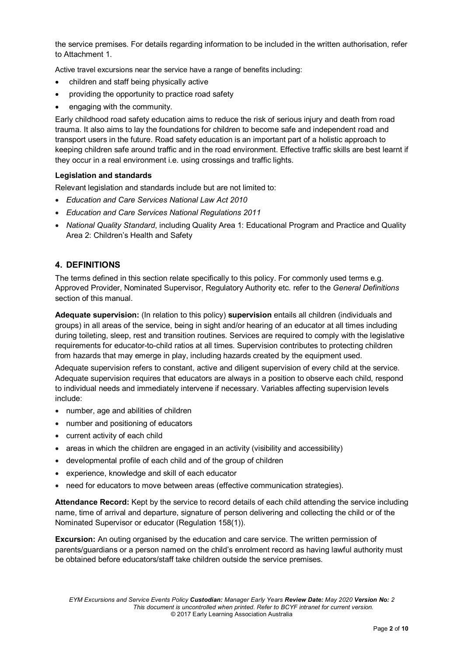the service premises. For details regarding information to be included in the written authorisation, refer to Attachment 1.

Active travel excursions near the service have a range of benefits including:

- children and staff being physically active
- providing the opportunity to practice road safety
- engaging with the community.

Early childhood road safety education aims to reduce the risk of serious injury and death from road trauma. It also aims to lay the foundations for children to become safe and independent road and transport users in the future. Road safety education is an important part of a holistic approach to keeping children safe around traffic and in the road environment. Effective traffic skills are best learnt if they occur in a real environment i.e. using crossings and traffic lights.

### **Legislation and standards**

Relevant legislation and standards include but are not limited to:

- *Education and Care Services National Law Act 2010*
- *Education and Care Services National Regulations 2011*
- *National Quality Standard*, including Quality Area 1: Educational Program and Practice and Quality Area 2: Children's Health and Safety

### **4. DEFINITIONS**

The terms defined in this section relate specifically to this policy. For commonly used terms e.g. Approved Provider, Nominated Supervisor, Regulatory Authority etc. refer to the *General Definitions* section of this manual.

**Adequate supervision:** (In relation to this policy) **supervision** entails all children (individuals and groups) in all areas of the service, being in sight and/or hearing of an educator at all times including during toileting, sleep, rest and transition routines. Services are required to comply with the legislative requirements for educator-to-child ratios at all times. Supervision contributes to protecting children from hazards that may emerge in play, including hazards created by the equipment used.

Adequate supervision refers to constant, active and diligent supervision of every child at the service. Adequate supervision requires that educators are always in a position to observe each child, respond to individual needs and immediately intervene if necessary. Variables affecting supervision levels include:

- number, age and abilities of children
- number and positioning of educators
- current activity of each child
- areas in which the children are engaged in an activity (visibility and accessibility)
- developmental profile of each child and of the group of children
- experience, knowledge and skill of each educator
- need for educators to move between areas (effective communication strategies).

**Attendance Record:** Kept by the service to record details of each child attending the service including name, time of arrival and departure, signature of person delivering and collecting the child or of the Nominated Supervisor or educator (Regulation 158(1)).

**Excursion:** An outing organised by the education and care service. The written permission of parents/guardians or a person named on the child's enrolment record as having lawful authority must be obtained before educators/staff take children outside the service premises.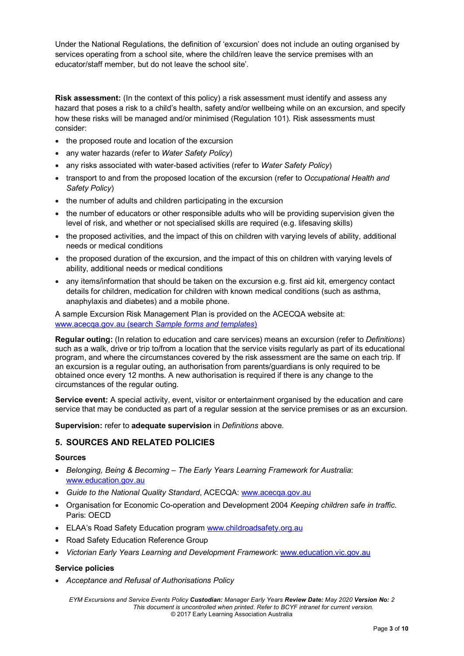Under the National Regulations, the definition of 'excursion' does not include an outing organised by services operating from a school site, where the child/ren leave the service premises with an educator/staff member, but do not leave the school site'.

**Risk assessment:** (In the context of this policy) a risk assessment must identify and assess any hazard that poses a risk to a child's health, safety and/or wellbeing while on an excursion, and specify how these risks will be managed and/or minimised (Regulation 101). Risk assessments must consider:

- the proposed route and location of the excursion
- any water hazards (refer to *Water Safety Policy*)
- any risks associated with water-based activities (refer to *Water Safety Policy*)
- transport to and from the proposed location of the excursion (refer to *Occupational Health and Safety Policy*)
- the number of adults and children participating in the excursion
- the number of educators or other responsible adults who will be providing supervision given the level of risk, and whether or not specialised skills are required (e.g. lifesaving skills)
- the proposed activities, and the impact of this on children with varying levels of ability, additional needs or medical conditions
- the proposed duration of the excursion, and the impact of this on children with varying levels of ability, additional needs or medical conditions
- any items/information that should be taken on the excursion e.g. first aid kit, emergency contact details for children, medication for children with known medical conditions (such as asthma, anaphylaxis and diabetes) and a mobile phone.

A sample Excursion Risk Management Plan is provided on the ACECQA website at: [www.acecqa.gov.au](http://www.acecqa.gov.au/) (search *Sample forms and templates*)

**Regular outing:** (In relation to education and care services) means an excursion (refer to *Definitions*) such as a walk, drive or trip to/from a location that the service visits regularly as part of its educational program, and where the circumstances covered by the risk assessment are the same on each trip. If an excursion is a regular outing, an authorisation from parents/guardians is only required to be obtained once every 12 months. A new authorisation is required if there is any change to the circumstances of the regular outing.

**Service event:** A special activity, event, visitor or entertainment organised by the education and care service that may be conducted as part of a regular session at the service premises or as an excursion.

**Supervision:** refer to **adequate supervision** in *Definitions* above.

### **5. SOURCES AND RELATED POLICIES**

#### **Sources**

- *Belonging, Being & Becoming – The Early Years Learning Framework for Australia*: [www.education.gov.au](https://www.education.gov.au/)
- *Guide to the National Quality Standard*, ACECQA: [www.acecqa.gov.au](http://www.acecqa.gov.au/)
- Organisation for Economic Co-operation and Development 2004 *Keeping children safe in traffic*. Paris: OECD
- ELAA's Road Safety Education program [www.childroadsafety.org.au](http://childroadsafety.org.au/)
- Road Safety Education Reference Group
- *Victorian Early Years Learning and Development Framework*[: www.education.vic.gov.au](http://www.education.vic.gov.au/Pages/default.aspx)

#### **Service policies**

• *Acceptance and Refusal of Authorisations Policy*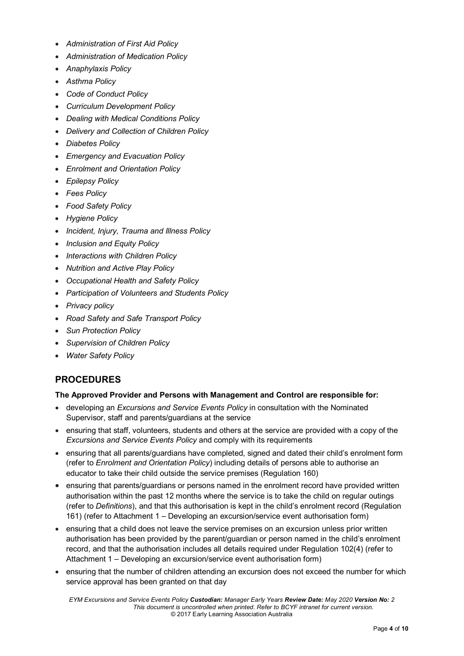- *Administration of First Aid Policy*
- *Administration of Medication Policy*
- *Anaphylaxis Policy*
- *Asthma Policy*
- *Code of Conduct Policy*
- *Curriculum Development Policy*
- *Dealing with Medical Conditions Policy*
- *Delivery and Collection of Children Policy*
- *Diabetes Policy*
- *Emergency and Evacuation Policy*
- *Enrolment and Orientation Policy*
- *Epilepsy Policy*
- *Fees Policy*
- *Food Safety Policy*
- *Hygiene Policy*
- *Incident, Injury, Trauma and Illness Policy*
- *Inclusion and Equity Policy*
- *Interactions with Children Policy*
- *Nutrition and Active Play Policy*
- *Occupational Health and Safety Policy*
- *Participation of Volunteers and Students Policy*
- *Privacy policy*
- *Road Safety and Safe Transport Policy*
- *Sun Protection Policy*
- *Supervision of Children Policy*
- *Water Safety Policy*

# **PROCEDURES**

#### **The Approved Provider and Persons with Management and Control are responsible for:**

- developing an *Excursions and Service Events Policy* in consultation with the Nominated Supervisor, staff and parents/guardians at the service
- ensuring that staff, volunteers, students and others at the service are provided with a copy of the *Excursions and Service Events Policy* and comply with its requirements
- ensuring that all parents/guardians have completed, signed and dated their child's enrolment form (refer to *Enrolment and Orientation Policy*) including details of persons able to authorise an educator to take their child outside the service premises (Regulation 160)
- ensuring that parents/guardians or persons named in the enrolment record have provided written authorisation within the past 12 months where the service is to take the child on regular outings (refer to *Definitions*), and that this authorisation is kept in the child's enrolment record (Regulation 161) (refer to Attachment 1 – Developing an excursion/service event authorisation form)
- ensuring that a child does not leave the service premises on an excursion unless prior written authorisation has been provided by the parent/guardian or person named in the child's enrolment record, and that the authorisation includes all details required under Regulation 102(4) (refer to Attachment 1 – Developing an excursion/service event authorisation form)
- ensuring that the number of children attending an excursion does not exceed the number for which service approval has been granted on that day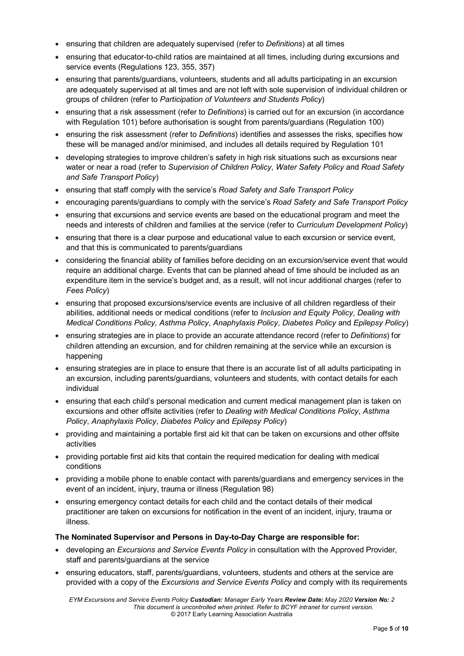- ensuring that children are adequately supervised (refer to *Definitions*) at all times
- ensuring that educator-to-child ratios are maintained at all times, including during excursions and service events (Regulations 123, 355, 357)
- ensuring that parents/guardians, volunteers, students and all adults participating in an excursion are adequately supervised at all times and are not left with sole supervision of individual children or groups of children (refer to *Participation of Volunteers and Students Policy*)
- ensuring that a risk assessment (refer to *Definitions*) is carried out for an excursion (in accordance with Regulation 101) before authorisation is sought from parents/guardians (Regulation 100)
- ensuring the risk assessment (refer to *Definitions*) identifies and assesses the risks, specifies how these will be managed and/or minimised, and includes all details required by Regulation 101
- developing strategies to improve children's safety in high risk situations such as excursions near water or near a road (refer to *Supervision of Children Policy*, *Water Safety Policy* and *Road Safety and Safe Transport Policy*)
- ensuring that staff comply with the service's *Road Safety and Safe Transport Policy*
- encouraging parents/guardians to comply with the service's *Road Safety and Safe Transport Policy*
- ensuring that excursions and service events are based on the educational program and meet the needs and interests of children and families at the service (refer to *Curriculum Development Policy*)
- ensuring that there is a clear purpose and educational value to each excursion or service event, and that this is communicated to parents/guardians
- considering the financial ability of families before deciding on an excursion/service event that would require an additional charge. Events that can be planned ahead of time should be included as an expenditure item in the service's budget and, as a result, will not incur additional charges (refer to *Fees Policy*)
- ensuring that proposed excursions/service events are inclusive of all children regardless of their abilities, additional needs or medical conditions (refer to *Inclusion and Equity Policy*, *Dealing with Medical Conditions Policy*, *Asthma Policy*, *Anaphylaxis Policy*, *Diabetes Policy* and *Epilepsy Policy*)
- ensuring strategies are in place to provide an accurate attendance record (refer to *Definitions*) for children attending an excursion, and for children remaining at the service while an excursion is happening
- ensuring strategies are in place to ensure that there is an accurate list of all adults participating in an excursion, including parents/guardians, volunteers and students, with contact details for each individual
- ensuring that each child's personal medication and current medical management plan is taken on excursions and other offsite activities (refer to *Dealing with Medical Conditions Policy*, *Asthma Policy*, *Anaphylaxis Policy*, *Diabetes Policy* and *Epilepsy Policy*)
- providing and maintaining a portable first aid kit that can be taken on excursions and other offsite activities
- providing portable first aid kits that contain the required medication for dealing with medical conditions
- providing a mobile phone to enable contact with parents/guardians and emergency services in the event of an incident, injury, trauma or illness (Regulation 98)
- ensuring emergency contact details for each child and the contact details of their medical practitioner are taken on excursions for notification in the event of an incident, injury, trauma or illness.

#### **The Nominated Supervisor and Persons in Day-to-Day Charge are responsible for:**

- developing an *Excursions and Service Events Policy* in consultation with the Approved Provider, staff and parents/guardians at the service
- ensuring educators, staff, parents/guardians, volunteers, students and others at the service are provided with a copy of the *Excursions and Service Events Policy* and comply with its requirements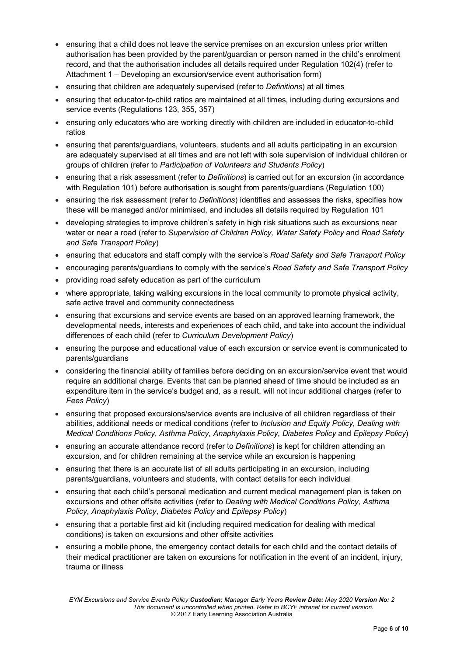- ensuring that a child does not leave the service premises on an excursion unless prior written authorisation has been provided by the parent/guardian or person named in the child's enrolment record, and that the authorisation includes all details required under Regulation 102(4) (refer to Attachment 1 – Developing an excursion/service event authorisation form)
- ensuring that children are adequately supervised (refer to *Definitions*) at all times
- ensuring that educator-to-child ratios are maintained at all times, including during excursions and service events (Regulations 123, 355, 357)
- ensuring only educators who are working directly with children are included in educator-to-child ratios
- ensuring that parents/guardians, volunteers, students and all adults participating in an excursion are adequately supervised at all times and are not left with sole supervision of individual children or groups of children (refer to *Participation of Volunteers and Students Policy*)
- ensuring that a risk assessment (refer to *Definitions*) is carried out for an excursion (in accordance with Regulation 101) before authorisation is sought from parents/guardians (Regulation 100)
- ensuring the risk assessment (refer to *Definitions*) identifies and assesses the risks, specifies how these will be managed and/or minimised, and includes all details required by Regulation 101
- developing strategies to improve children's safety in high risk situations such as excursions near water or near a road (refer to *Supervision of Children Policy, Water Safety Policy* and *Road Safety and Safe Transport Policy*)
- ensuring that educators and staff comply with the service's *Road Safety and Safe Transport Policy*
- encouraging parents/guardians to comply with the service's *Road Safety and Safe Transport Policy*
- providing road safety education as part of the curriculum
- where appropriate, taking walking excursions in the local community to promote physical activity, safe active travel and community connectedness
- ensuring that excursions and service events are based on an approved learning framework, the developmental needs, interests and experiences of each child, and take into account the individual differences of each child (refer to *Curriculum Development Policy*)
- ensuring the purpose and educational value of each excursion or service event is communicated to parents/guardians
- considering the financial ability of families before deciding on an excursion/service event that would require an additional charge. Events that can be planned ahead of time should be included as an expenditure item in the service's budget and, as a result, will not incur additional charges (refer to *Fees Policy*)
- ensuring that proposed excursions/service events are inclusive of all children regardless of their abilities, additional needs or medical conditions (refer to *Inclusion and Equity Policy*, *Dealing with Medical Conditions Policy*, *Asthma Policy*, *Anaphylaxis Policy*, *Diabetes Policy* and *Epilepsy Policy*)
- ensuring an accurate attendance record (refer to *Definitions*) is kept for children attending an excursion, and for children remaining at the service while an excursion is happening
- ensuring that there is an accurate list of all adults participating in an excursion, including parents/guardians, volunteers and students, with contact details for each individual
- ensuring that each child's personal medication and current medical management plan is taken on excursions and other offsite activities (refer to *Dealing with Medical Conditions Policy, Asthma Policy*, *Anaphylaxis Policy*, *Diabetes Policy* and *Epilepsy Policy*)
- ensuring that a portable first aid kit (including required medication for dealing with medical conditions) is taken on excursions and other offsite activities
- ensuring a mobile phone, the emergency contact details for each child and the contact details of their medical practitioner are taken on excursions for notification in the event of an incident, injury, trauma or illness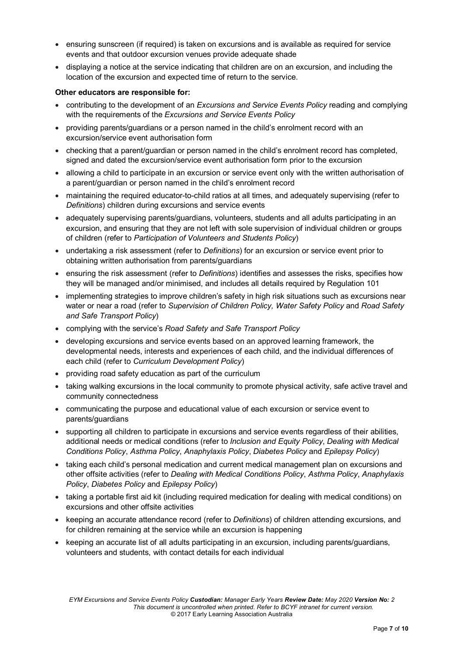- ensuring sunscreen (if required) is taken on excursions and is available as required for service events and that outdoor excursion venues provide adequate shade
- displaying a notice at the service indicating that children are on an excursion, and including the location of the excursion and expected time of return to the service.

#### **Other educators are responsible for:**

- contributing to the development of an *Excursions and Service Events Policy* reading and complying with the requirements of the *Excursions and Service Events Policy*
- providing parents/guardians or a person named in the child's enrolment record with an excursion/service event authorisation form
- checking that a parent/guardian or person named in the child's enrolment record has completed, signed and dated the excursion/service event authorisation form prior to the excursion
- allowing a child to participate in an excursion or service event only with the written authorisation of a parent/guardian or person named in the child's enrolment record
- maintaining the required educator-to-child ratios at all times, and adequately supervising (refer to *Definitions*) children during excursions and service events
- adequately supervising parents/guardians, volunteers, students and all adults participating in an excursion, and ensuring that they are not left with sole supervision of individual children or groups of children (refer to *Participation of Volunteers and Students Policy*)
- undertaking a risk assessment (refer to *Definitions*) for an excursion or service event prior to obtaining written authorisation from parents/guardians
- ensuring the risk assessment (refer to *Definitions*) identifies and assesses the risks, specifies how they will be managed and/or minimised, and includes all details required by Regulation 101
- implementing strategies to improve children's safety in high risk situations such as excursions near water or near a road (refer to *Supervision of Children Policy, Water Safety Policy* and *Road Safety and Safe Transport Policy*)
- complying with the service's *Road Safety and Safe Transport Policy*
- developing excursions and service events based on an approved learning framework, the developmental needs, interests and experiences of each child, and the individual differences of each child (refer to *Curriculum Development Policy*)
- providing road safety education as part of the curriculum
- taking walking excursions in the local community to promote physical activity, safe active travel and community connectedness
- communicating the purpose and educational value of each excursion or service event to parents/guardians
- supporting all children to participate in excursions and service events regardless of their abilities, additional needs or medical conditions (refer to *Inclusion and Equity Policy*, *Dealing with Medical Conditions Policy*, *Asthma Policy*, *Anaphylaxis Policy*, *Diabetes Policy* and *Epilepsy Policy*)
- taking each child's personal medication and current medical management plan on excursions and other offsite activities (refer to *Dealing with Medical Conditions Policy*, *Asthma Policy*, *Anaphylaxis Policy*, *Diabetes Policy* and *Epilepsy Policy*)
- taking a portable first aid kit (including required medication for dealing with medical conditions) on excursions and other offsite activities
- keeping an accurate attendance record (refer to *Definitions*) of children attending excursions, and for children remaining at the service while an excursion is happening
- keeping an accurate list of all adults participating in an excursion, including parents/guardians, volunteers and students, with contact details for each individual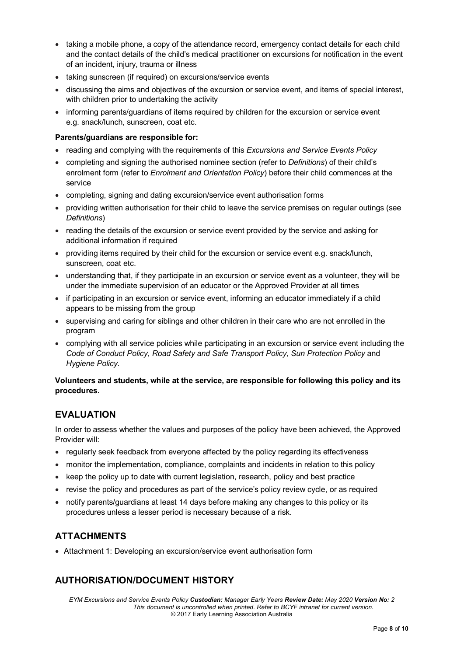- taking a mobile phone, a copy of the attendance record, emergency contact details for each child and the contact details of the child's medical practitioner on excursions for notification in the event of an incident, injury, trauma or illness
- taking sunscreen (if required) on excursions/service events
- discussing the aims and objectives of the excursion or service event, and items of special interest, with children prior to undertaking the activity
- informing parents/guardians of items required by children for the excursion or service event e.g. snack/lunch, sunscreen, coat etc.

#### **Parents/guardians are responsible for:**

- reading and complying with the requirements of this *Excursions and Service Events Policy*
- completing and signing the authorised nominee section (refer to *Definitions*) of their child's enrolment form (refer to *Enrolment and Orientation Policy*) before their child commences at the service
- completing, signing and dating excursion/service event authorisation forms
- providing written authorisation for their child to leave the service premises on regular outings (see *Definitions*)
- reading the details of the excursion or service event provided by the service and asking for additional information if required
- providing items required by their child for the excursion or service event e.g. snack/lunch, sunscreen, coat etc.
- understanding that, if they participate in an excursion or service event as a volunteer, they will be under the immediate supervision of an educator or the Approved Provider at all times
- if participating in an excursion or service event, informing an educator immediately if a child appears to be missing from the group
- supervising and caring for siblings and other children in their care who are not enrolled in the program
- complying with all service policies while participating in an excursion or service event including the *Code of Conduct Policy*, *Road Safety and Safe Transport Policy, Sun Protection Policy* and *Hygiene Policy.*

#### **Volunteers and students, while at the service, are responsible for following this policy and its procedures.**

# **EVALUATION**

In order to assess whether the values and purposes of the policy have been achieved, the Approved Provider will:

- regularly seek feedback from everyone affected by the policy regarding its effectiveness
- monitor the implementation, compliance, complaints and incidents in relation to this policy
- keep the policy up to date with current legislation, research, policy and best practice
- revise the policy and procedures as part of the service's policy review cycle, or as required
- notify parents/guardians at least 14 days before making any changes to this policy or its procedures unless a lesser period is necessary because of a risk.

# **ATTACHMENTS**

• Attachment 1: Developing an excursion/service event authorisation form

# **AUTHORISATION/DOCUMENT HISTORY**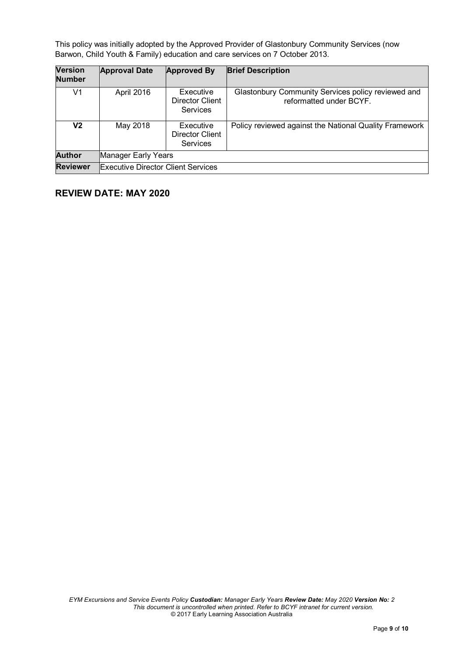This policy was initially adopted by the Approved Provider of Glastonbury Community Services (now Barwon, Child Youth & Family) education and care services on 7 October 2013.

| <b>Version</b><br><b>Number</b> | <b>Approval Date</b>                      | <b>Approved By</b>                              | <b>Brief Description</b>                                                      |
|---------------------------------|-------------------------------------------|-------------------------------------------------|-------------------------------------------------------------------------------|
| V1                              | April 2016                                | Executive<br>Director Client<br>Services        | Glastonbury Community Services policy reviewed and<br>reformatted under BCYF. |
| V2                              | May 2018                                  | Executive<br>Director Client<br><b>Services</b> | Policy reviewed against the National Quality Framework                        |
| <b>Author</b>                   | Manager Early Years                       |                                                 |                                                                               |
| <b>Reviewer</b>                 | <b>Executive Director Client Services</b> |                                                 |                                                                               |

# **REVIEW DATE: MAY 2020**